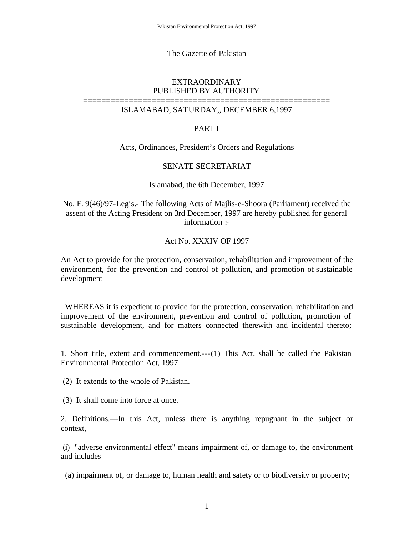### The Gazette of Pakistan

## EXTRAORDINARY PUBLISHED BY AUTHORITY

# ====================================================== ISLAMABAD, SATURDAY,, DECEMBER 6,1997

## PART I

#### Acts, Ordinances, President's Orders and Regulations

#### SENATE SECRETARIAT

#### Islamabad, the 6th December, 1997

No. F. 9(46)/97-Legis.- The following Acts of Majlis-e-Shoora (Parliament) received the assent of the Acting President on 3rd December, 1997 are hereby published for general information :-

# Act No. XXXIV OF 1997

An Act to provide for the protection, conservation, rehabilitation and improvement of the environment, for the prevention and control of pollution, and promotion of sustainable development

 WHEREAS it is expedient to provide for the protection, conservation, rehabilitation and improvement of the environment, prevention and control of pollution, promotion of sustainable development, and for matters connected therewith and incidental thereto;

1. Short title, extent and commencement.---(1) This Act, shall be called the Pakistan Environmental Protection Act, 1997

(2) It extends to the whole of Pakistan.

(3) It shall come into force at once.

2. Definitions.—In this Act, unless there is anything repugnant in the subject or context,—

(i) "adverse environmental effect" means impairment of, or damage to, the environment and includes—

(a) impairment of, or damage to, human health and safety or to biodiversity or property;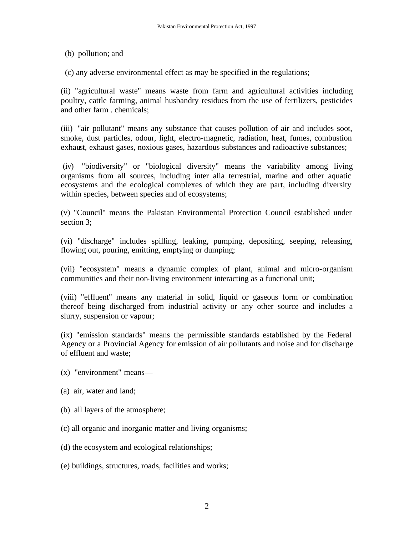(b) pollution; and

(c) any adverse environmental effect as may be specified in the regulations;

(ii) "agricultural waste" means waste from farm and agricultural activities including poultry, cattle farming, animal husbandry residues from the use of fertilizers, pesticides and other farm . chemicals;

(iii) "air pollutant" means any substance that causes pollution of air and includes soot, smoke, dust particles, odour, light, electro-magnetic, radiation, heat, fumes, combustion exhaust, exhaust gases, noxious gases, hazardous substances and radioactive substances;

(iv) "biodiversity" or "biological diversity" means the variability among living organisms from all sources, including inter alia terrestrial, marine and other aquatic ecosystems and the ecological complexes of which they are part, including diversity within species, between species and of ecosystems;

(v) "Council" means the Pakistan Environmental Protection Council established under section 3;

(vi) "discharge" includes spilling, leaking, pumping, depositing, seeping, releasing, flowing out, pouring, emitting, emptying or dumping;

(vii) "ecosystem" means a dynamic complex of plant, animal and micro-organism communities and their non-living environment interacting as a functional unit;

(viii) "effluent" means any material in solid, liquid or gaseous form or combination thereof being discharged from industrial activity or any other source and includes a slurry, suspension or vapour;

(ix) "emission standards" means the permissible standards established by the Federal Agency or a Provincial Agency for emission of air pollutants and noise and for discharge of effluent and waste;

- (x) "environment" means—
- (a) air, water and land;
- (b) all layers of the atmosphere;
- (c) all organic and inorganic matter and living organisms;
- (d) the ecosystem and ecological relationships;
- (e) buildings, structures, roads, facilities and works;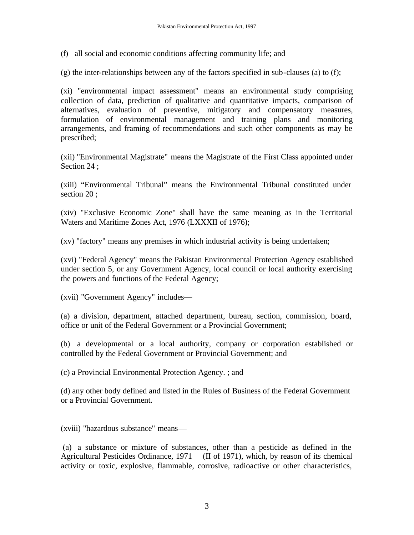(f) all social and economic conditions affecting community life; and

 $(g)$  the inter-relationships between any of the factors specified in sub-clauses (a) to (f);

(xi) "environmental impact assessment" means an environmental study comprising collection of data, prediction of qualitative and quantitative impacts, comparison of alternatives, evaluation of preventive, mitigatory and compensatory measures, formulation of environmental management and training plans and monitoring arrangements, and framing of recommendations and such other components as may be prescribed;

(xii) "Environmental Magistrate" means the Magistrate of the First Class appointed under Section 24;

(xiii) "Environmental Tribunal" means the Environmental Tribunal constituted under section 20 ;

(xiv) "Exclusive Economic Zone" shall have the same meaning as in the Territorial Waters and Maritime Zones Act, 1976 (LXXXII of 1976);

(xv) "factory" means any premises in which industrial activity is being undertaken;

(xvi) "Federal Agency" means the Pakistan Environmental Protection Agency established under section 5, or any Government Agency, local council or local authority exercising the powers and functions of the Federal Agency;

(xvii) "Government Agency" includes—

(a) a division, department, attached department, bureau, section, commission, board, office or unit of the Federal Government or a Provincial Government;

(b) a developmental or a local authority, company or corporation established or controlled by the Federal Government or Provincial Government; and

(c) a Provincial Environmental Protection Agency. ; and

(d) any other body defined and listed in the Rules of Business of the Federal Government or a Provincial Government.

(xviii) "hazardous substance" means—

(a) a substance or mixture of substances, other than a pesticide as defined in the Agricultural Pesticides Ordinance, 1971 (II of 1971), which, by reason of its chemical activity or toxic, explosive, flammable, corrosive, radioactive or other characteristics,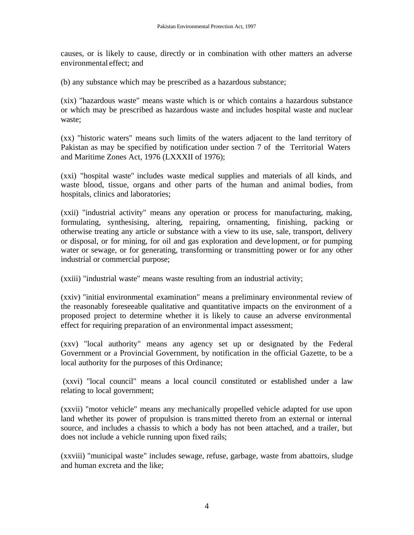causes, or is likely to cause, directly or in combination with other matters an adverse environmental effect; and

(b) any substance which may be prescribed as a hazardous substance;

(xix) "hazardous waste" means waste which is or which contains a hazardous substance or which may be prescribed as hazardous waste and includes hospital waste and nuclear waste;

(xx) "historic waters" means such limits of the waters adjacent to the land territory of Pakistan as may be specified by notification under section 7 of the Territorial Waters and Maritime Zones Act, 1976 (LXXXII of 1976);

(xxi) "hospital waste" includes waste medical supplies and materials of all kinds, and waste blood, tissue, organs and other parts of the human and animal bodies, from hospitals, clinics and laboratories;

(xxii) "industrial activity" means any operation or process for manufacturing, making, formulating, synthesising, altering, repairing, ornamenting, finishing, packing or otherwise treating any article or substance with a view to its use, sale, transport, delivery or disposal, or for mining, for oil and gas exploration and deve lopment, or for pumping water or sewage, or for generating, transforming or transmitting power or for any other industrial or commercial purpose;

(xxiii) "industrial waste" means waste resulting from an industrial activity;

(xxiv) "initial environmental examination" means a preliminary environmental review of the reasonably foreseeable qualitative and quantitative impacts on the environment of a proposed project to determine whether it is likely to cause an adverse environmental effect for requiring preparation of an environmental impact assessment;

(xxv) "local authority" means any agency set up or designated by the Federal Government or a Provincial Government, by notification in the official Gazette, to be a local authority for the purposes of this Ordinance;

(xxvi) "local council" means a local council constituted or established under a law relating to local government;

(xxvii) "motor vehicle" means any mechanically propelled vehicle adapted for use upon land whether its power of propulsion is transmitted thereto from an external or internal source, and includes a chassis to which a body has not been attached, and a trailer, but does not include a vehicle running upon fixed rails;

(xxviii) "municipal waste" includes sewage, refuse, garbage, waste from abattoirs, sludge and human excreta and the like;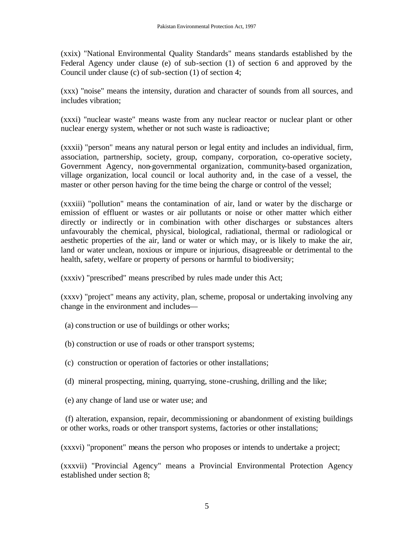(xxix) "National Environmental Quality Standards" means standards established by the Federal Agency under clause (e) of sub-section (1) of section 6 and approved by the Council under clause (c) of sub-section (1) of section 4;

(xxx) "noise" means the intensity, duration and character of sounds from all sources, and includes vibration;

(xxxi) "nuclear waste" means waste from any nuclear reactor or nuclear plant or other nuclear energy system, whether or not such waste is radioactive;

(xxxii) "person" means any natural person or legal entity and includes an individual, firm, association, partnership, society, group, company, corporation, co-operative society, Government Agency, non-governmental organization, community-based organization, village organization, local council or local authority and, in the case of a vessel, the master or other person having for the time being the charge or control of the vessel;

(xxxiii) "pollution" means the contamination of air, land or water by the discharge or emission of effluent or wastes or air pollutants or noise or other matter which either directly or indirectly or in combination with other discharges or substances alters unfavourably the chemical, physical, biological, radiational, thermal or radiological or aesthetic properties of the air, land or water or which may, or is likely to make the air, land or water unclean, noxious or impure or injurious, disagreeable or detrimental to the health, safety, welfare or property of persons or harmful to biodiversity;

(xxxiv) "prescribed" means prescribed by rules made under this Act;

(xxxv) "project" means any activity, plan, scheme, proposal or undertaking involving any change in the environment and includes—

- (a) construction or use of buildings or other works;
- (b) construction or use of roads or other transport systems;
- (c) construction or operation of factories or other installations;
- (d) mineral prospecting, mining, quarrying, stone-crushing, drilling and the like;
- (e) any change of land use or water use; and

 (f) alteration, expansion, repair, decommissioning or abandonment of existing buildings or other works, roads or other transport systems, factories or other installations;

(xxxvi) "proponent" means the person who proposes or intends to undertake a project;

(xxxvii) "Provincial Agency" means a Provincial Environmental Protection Agency established under section 8;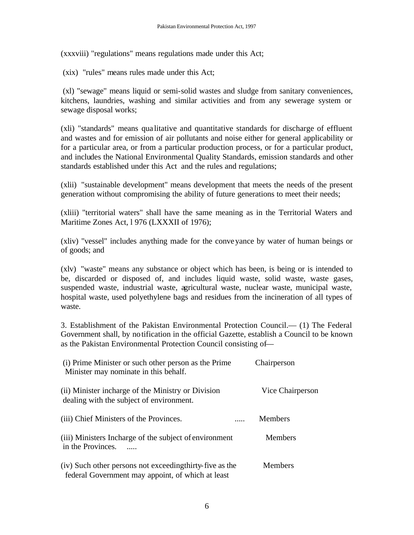(xxxviii) "regulations" means regulations made under this Act;

(xix) "rules" means rules made under this Act;

(xl) "sewage" means liquid or semi-solid wastes and sludge from sanitary conveniences, kitchens, laundries, washing and similar activities and from any sewerage system or sewage disposal works;

(xli) "standards" means qua litative and quantitative standards for discharge of effluent and wastes and for emission of air pollutants and noise either for general applicability or for a particular area, or from a particular production process, or for a particular product, and includes the National Environmental Quality Standards, emission standards and other standards established under this Act and the rules and regulations;

(xlii) "sustainable development" means development that meets the needs of the present generation without compromising the ability of future generations to meet their needs;

(xliii) "territorial waters" shall have the same meaning as in the Territorial Waters and Maritime Zones Act, 1976 (LXXXII of 1976);

(xliv) "vessel" includes anything made for the conveyance by water of human beings or of goods; and

(xlv) "waste" means any substance or object which has been, is being or is intended to be, discarded or disposed of, and includes liquid waste, solid waste, waste gases, suspended waste, industrial waste, agricultural waste, nuclear waste, municipal waste, hospital waste, used polyethylene bags and residues from the incineration of all types of waste.

3. Establishment of the Pakistan Environmental Protection Council.— (1) The Federal Government shall, by notification in the official Gazette, establish a Council to be known as the Pakistan Environmental Protection Council consisting of—

| (i) Prime Minister or such other person as the Prime<br>Minister may nominate in this behalf.                 | Chairperson      |
|---------------------------------------------------------------------------------------------------------------|------------------|
| (ii) Minister incharge of the Ministry or Division<br>dealing with the subject of environment.                | Vice Chairperson |
| (iii) Chief Ministers of the Provinces.                                                                       | <b>Members</b>   |
| (iii) Ministers Incharge of the subject of environment<br>in the Provinces.                                   | <b>Members</b>   |
| (iv) Such other persons not exceeding thirty-five as the<br>federal Government may appoint, of which at least | <b>Members</b>   |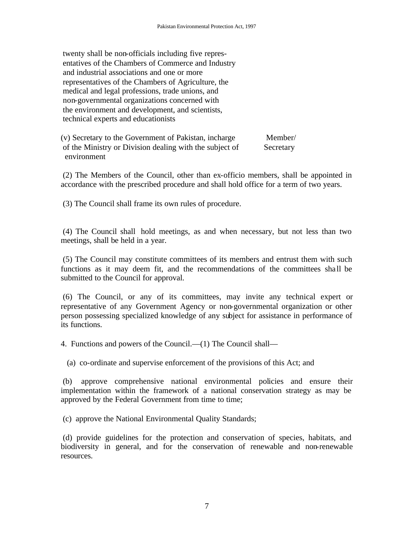twenty shall be non-officials including five representatives of the Chambers of Commerce and Industry and industrial associations and one or more representatives of the Chambers of Agriculture, the medical and legal professions, trade unions, and non-governmental organizations concerned with the environment and development, and scientists, technical experts and educationists

(v) Secretary to the Government of Pakistan, incharge Member/ of the Ministry or Division dealing with the subject of Secretary environment

(2) The Members of the Council, other than ex-officio members, shall be appointed in accordance with the prescribed procedure and shall hold office for a term of two years.

(3) The Council shall frame its own rules of procedure.

(4) The Council shall hold meetings, as and when necessary, but not less than two meetings, shall be held in a year.

(5) The Council may constitute committees of its members and entrust them with such functions as it may deem fit, and the recommendations of the committees shall be submitted to the Council for approval.

(6) The Council, or any of its committees, may invite any technical expert or representative of any Government Agency or non-governmental organization or other person possessing specialized knowledge of any subject for assistance in performance of its functions.

4. Functions and powers of the Council.—(1) The Council shall—

(a) co-ordinate and supervise enforcement of the provisions of this Act; and

(b) approve comprehensive national environmental policies and ensure their implementation within the framework of a national conservation strategy as may be approved by the Federal Government from time to time;

(c) approve the National Environmental Quality Standards;

(d) provide guidelines for the protection and conservation of species, habitats, and biodiversity in general, and for the conservation of renewable and non-renewable resources.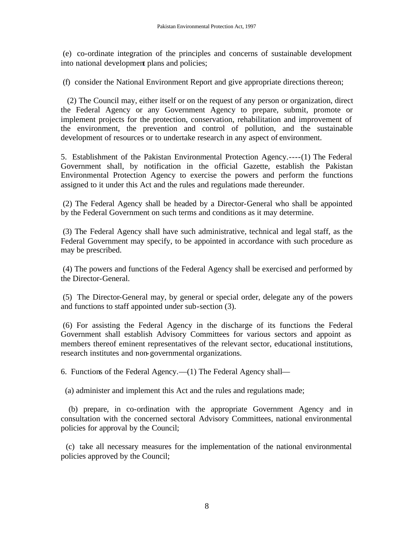(e) co-ordinate integration of the principles and concerns of sustainable development into national development plans and policies;

(f) consider the National Environment Report and give appropriate directions thereon;

 (2) The Council may, either itself or on the request of any person or organization, direct the Federal Agency or any Government Agency to prepare, submit, promote or implement projects for the protection, conservation, rehabilitation and improvement of the environment, the prevention and control of pollution, and the sustainable development of resources or to undertake research in any aspect of environment.

5. Establishment of the Pakistan Environmental Protection Agency.----(1) The Federal Government shall, by notification in the official Gazette, establish the Pakistan Environmental Protection Agency to exercise the powers and perform the functions assigned to it under this Act and the rules and regulations made thereunder.

(2) The Federal Agency shall be headed by a Director-General who shall be appointed by the Federal Government on such terms and conditions as it may determine.

(3) The Federal Agency shall have such administrative, technical and legal staff, as the Federal Government may specify, to be appointed in accordance with such procedure as may be prescribed.

(4) The powers and functions of the Federal Agency shall be exercised and performed by the Director-General.

(5) The Director-General may, by general or special order, delegate any of the powers and functions to staff appointed under sub-section (3).

(6) For assisting the Federal Agency in the discharge of its functions the Federal Government shall establish Advisory Committees for various sectors and appoint as members thereof eminent representatives of the relevant sector, educational institutions, research institutes and non-governmental organizations.

6. Functions of the Federal Agency.—(1) The Federal Agency shall—

(a) administer and implement this Act and the rules and regulations made;

 (b) prepare, in co-ordination with the appropriate Government Agency and in consultation with the concerned sectoral Advisory Committees, national environmental policies for approval by the Council;

 (c) take all necessary measures for the implementation of the national environmental policies approved by the Council;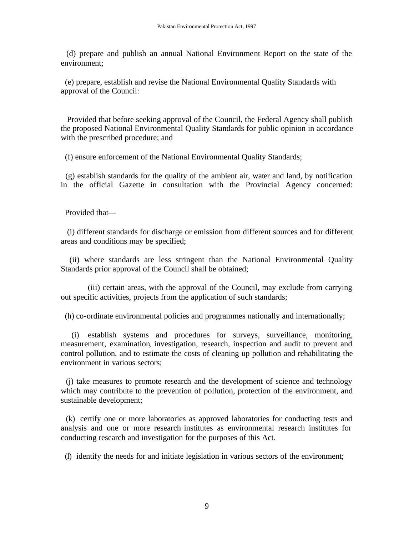(d) prepare and publish an annual National Environment Report on the state of the environment;

 (e) prepare, establish and revise the National Environmental Quality Standards with approval of the Council:

 Provided that before seeking approval of the Council, the Federal Agency shall publish the proposed National Environmental Quality Standards for public opinion in accordance with the prescribed procedure; and

(f) ensure enforcement of the National Environmental Quality Standards;

 (g) establish standards for the quality of the ambient air, water and land, by notification in the official Gazette in consultation with the Provincial Agency concerned:

Provided that—

 (i) different standards for discharge or emission from different sources and for different areas and conditions may be specified;

 (ii) where standards are less stringent than the National Environmental Quality Standards prior approval of the Council shall be obtained;

 (iii) certain areas, with the approval of the Council, may exclude from carrying out specific activities, projects from the application of such standards;

(h) co-ordinate environmental policies and programmes nationally and internationally;

 (i) establish systems and procedures for surveys, surveillance, monitoring, measurement, examination, investigation, research, inspection and audit to prevent and control pollution, and to estimate the costs of cleaning up pollution and rehabilitating the environment in various sectors;

 (j) take measures to promote research and the development of science and technology which may contribute to the prevention of pollution, protection of the environment, and sustainable development;

 (k) certify one or more laboratories as approved laboratories for conducting tests and analysis and one or more research institutes as environmental research institutes for conducting research and investigation for the purposes of this Act.

(l) identify the needs for and initiate legislation in various sectors of the environment;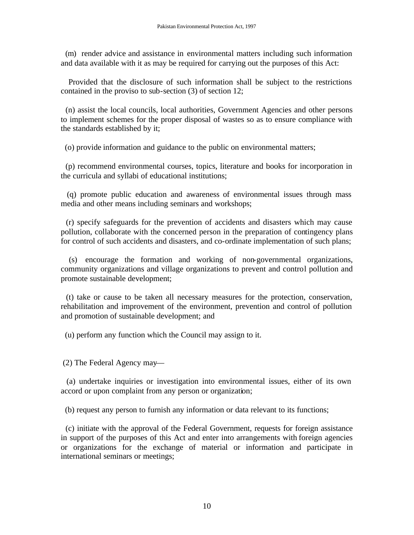(m) render advice and assistance in environmental matters including such information and data available with it as may be required for carrying out the purposes of this Act:

 Provided that the disclosure of such information shall be subject to the restrictions contained in the proviso to sub-section (3) of section 12;

 (n) assist the local councils, local authorities, Government Agencies and other persons to implement schemes for the proper disposal of wastes so as to ensure compliance with the standards established by it;

(o) provide information and guidance to the public on environmental matters;

 (p) recommend environmental courses, topics, literature and books for incorporation in the curricula and syllabi of educational institutions;

 (q) promote public education and awareness of environmental issues through mass media and other means including seminars and workshops;

 (r) specify safeguards for the prevention of accidents and disasters which may cause pollution, collaborate with the concerned person in the preparation of contingency plans for control of such accidents and disasters, and co-ordinate implementation of such plans;

 (s) encourage the formation and working of non-governmental organizations, community organizations and village organizations to prevent and control pollution and promote sustainable development;

 (t) take or cause to be taken all necessary measures for the protection, conservation, rehabilitation and improvement of the environment, prevention and control of pollution and promotion of sustainable development; and

(u) perform any function which the Council may assign to it.

(2) The Federal Agency may—

 (a) undertake inquiries or investigation into environmental issues, either of its own accord or upon complaint from any person or organization;

(b) request any person to furnish any information or data relevant to its functions;

 (c) initiate with the approval of the Federal Government, requests for foreign assistance in support of the purposes of this Act and enter into arrangements with foreign agencies or organizations for the exchange of material or information and participate in international seminars or meetings;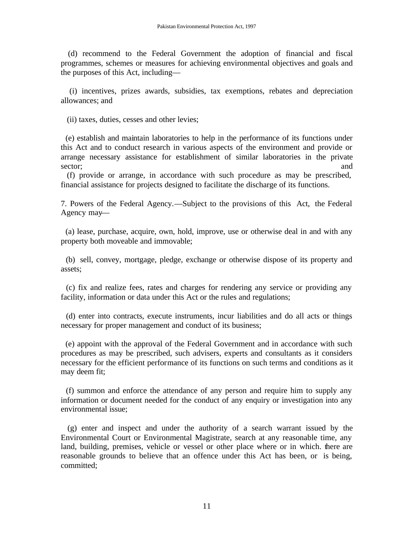(d) recommend to the Federal Government the adoption of financial and fiscal programmes, schemes or measures for achieving environmental objectives and goals and the purposes of this Act, including—

 (i) incentives, prizes awards, subsidies, tax exemptions, rebates and depreciation allowances; and

(ii) taxes, duties, cesses and other levies;

 (e) establish and maintain laboratories to help in the performance of its functions under this Act and to conduct research in various aspects of the environment and provide or arrange necessary assistance for establishment of similar laboratories in the private sector; and and sector; and and sector; and and sector; and and sector; and sector; and sector; and sector; and sector; and sector; and sector; and sector; and sector; and sector; and sector; and sector; and sector; and se

(f) provide or arrange, in accordance with such procedure as may be prescribed, financial assistance for projects designed to facilitate the discharge of its functions.

7. Powers of the Federal Agency.—Subject to the provisions of this Act, the Federal Agency may—

 (a) lease, purchase, acquire, own, hold, improve, use or otherwise deal in and with any property both moveable and immovable;

 (b) sell, convey, mortgage, pledge, exchange or otherwise dispose of its property and assets;

 (c) fix and realize fees, rates and charges for rendering any service or providing any facility, information or data under this Act or the rules and regulations;

 (d) enter into contracts, execute instruments, incur liabilities and do all acts or things necessary for proper management and conduct of its business;

 (e) appoint with the approval of the Federal Government and in accordance with such procedures as may be prescribed, such advisers, experts and consultants as it considers necessary for the efficient performance of its functions on such terms and conditions as it may deem fit;

 (f) summon and enforce the attendance of any person and require him to supply any information or document needed for the conduct of any enquiry or investigation into any environmental issue;

 (g) enter and inspect and under the authority of a search warrant issued by the Environmental Court or Environmental Magistrate, search at any reasonable time, any land, building, premises, vehicle or vessel or other place where or in which. there are reasonable grounds to believe that an offence under this Act has been, or is being, committed;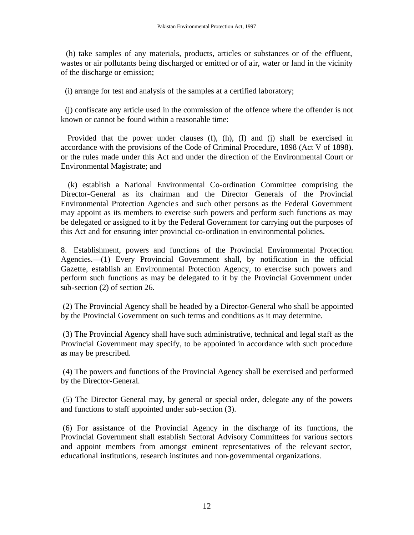(h) take samples of any materials, products, articles or substances or of the effluent, wastes or air pollutants being discharged or emitted or of air, water or land in the vicinity of the discharge or emission;

(i) arrange for test and analysis of the samples at a certified laboratory;

 (j) confiscate any article used in the commission of the offence where the offender is not known or cannot be found within a reasonable time:

 Provided that the power under clauses (f), (h), (I) and (j) shall be exercised in accordance with the provisions of the Code of Criminal Procedure, 1898 (Act V of 1898). or the rules made under this Act and under the direction of the Environmental Court or Environmental Magistrate; and

 (k) establish a National Environmental Co-ordination Committee comprising the Director-General as its chairman and the Director Generals of the Provincial Environmental Protection Agencie s and such other persons as the Federal Government may appoint as its members to exercise such powers and perform such functions as may be delegated or assigned to it by the Federal Government for carrying out the purposes of this Act and for ensuring inter provincial co-ordination in environmental policies.

8. Establishment, powers and functions of the Provincial Environmental Protection Agencies.—(1) Every Provincial Government shall, by notification in the official Gazette, establish an Environmental Protection Agency, to exercise such powers and perform such functions as may be delegated to it by the Provincial Government under sub-section (2) of section 26.

(2) The Provincial Agency shall be headed by a Director-General who shall be appointed by the Provincial Government on such terms and conditions as it may determine.

(3) The Provincial Agency shall have such administrative, technical and legal staff as the Provincial Government may specify, to be appointed in accordance with such procedure as may be prescribed.

(4) The powers and functions of the Provincial Agency shall be exercised and performed by the Director-General.

(5) The Director General may, by general or special order, delegate any of the powers and functions to staff appointed under sub-section (3).

(6) For assistance of the Provincial Agency in the discharge of its functions, the Provincial Government shall establish Sectoral Advisory Committees for various sectors and appoint members from amongst eminent representatives of the relevant sector, educational institutions, research institutes and non-governmental organizations.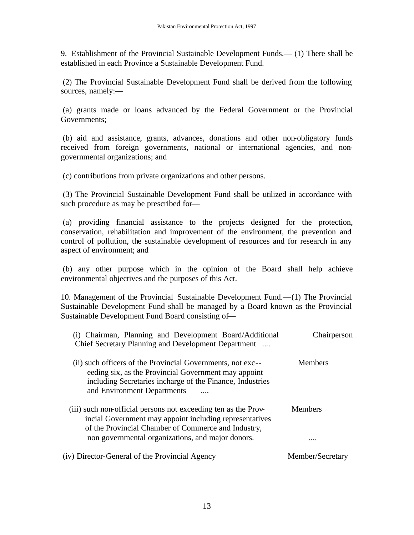9. Establishment of the Provincial Sustainable Development Funds.— (1) There shall be established in each Province a Sustainable Development Fund.

(2) The Provincial Sustainable Development Fund shall be derived from the following sources, namely:—

(a) grants made or loans advanced by the Federal Government or the Provincial Governments;

(b) aid and assistance, grants, advances, donations and other non-obligatory funds received from foreign governments, national or international agencies, and nongovernmental organizations; and

(c) contributions from private organizations and other persons.

(3) The Provincial Sustainable Development Fund shall be utilized in accordance with such procedure as may be prescribed for—

(a) providing financial assistance to the projects designed for the protection, conservation, rehabilitation and improvement of the environment, the prevention and control of pollution, the sustainable development of resources and for research in any aspect of environment; and

(b) any other purpose which in the opinion of the Board shall help achieve environmental objectives and the purposes of this Act.

10. Management of the Provincial Sustainable Development Fund.—(1) The Provincial Sustainable Development Fund shall be managed by a Board known as the Provincial Sustainable Development Fund Board consisting of—

| (i) Chairman, Planning and Development Board/Additional<br>Chief Secretary Planning and Development Department                                                                                                  | Chairperson      |
|-----------------------------------------------------------------------------------------------------------------------------------------------------------------------------------------------------------------|------------------|
| (ii) such officers of the Provincial Governments, not exc--<br>eeding six, as the Provincial Government may appoint<br>including Secretaries incharge of the Finance, Industries<br>and Environment Departments | <b>Members</b>   |
| (iii) such non-official persons not exceeding ten as the Prov-<br>incial Government may appoint including representatives<br>of the Provincial Chamber of Commerce and Industry,                                | <b>Members</b>   |
| non governmental organizations, and major donors.                                                                                                                                                               | .                |
| (iv) Director-General of the Provincial Agency                                                                                                                                                                  | Member/Secretary |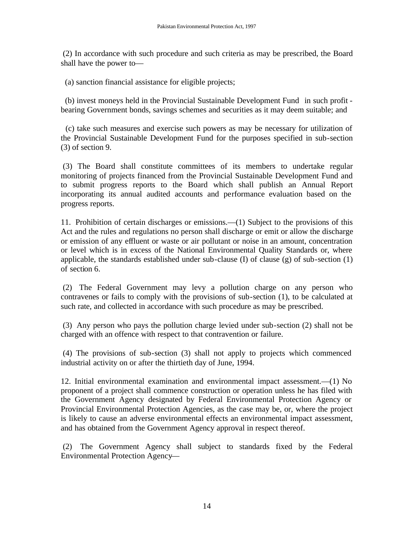(2) In accordance with such procedure and such criteria as may be prescribed, the Board shall have the power to—

(a) sanction financial assistance for eligible projects;

 (b) invest moneys held in the Provincial Sustainable Development Fund in such profit bearing Government bonds, savings schemes and securities as it may deem suitable; and

 (c) take such measures and exercise such powers as may be necessary for utilization of the Provincial Sustainable Development Fund for the purposes specified in sub-section (3) of section 9.

(3) The Board shall constitute committees of its members to undertake regular monitoring of projects financed from the Provincial Sustainable Development Fund and to submit progress reports to the Board which shall publish an Annual Report incorporating its annual audited accounts and performance evaluation based on the progress reports.

11. Prohibition of certain discharges or emissions.—(1) Subject to the provisions of this Act and the rules and regulations no person shall discharge or emit or allow the discharge or emission of any effluent or waste or air pollutant or noise in an amount, concentration or level which is in excess of the National Environmental Quality Standards or, where applicable, the standards established under sub-clause (I) of clause (g) of sub-section (1) of section 6.

(2) The Federal Government may levy a pollution charge on any person who contravenes or fails to comply with the provisions of sub-section (1), to be calculated at such rate, and collected in accordance with such procedure as may be prescribed.

(3) Any person who pays the pollution charge levied under sub-section (2) shall not be charged with an offence with respect to that contravention or failure.

(4) The provisions of sub-section (3) shall not apply to projects which commenced industrial activity on or after the thirtieth day of June, 1994.

12. Initial environmental examination and environmental impact assessment.—(1) No proponent of a project shall commence construction or operation unless he has filed with the Government Agency designated by Federal Environmental Protection Agency or Provincial Environmental Protection Agencies, as the case may be, or, where the project is likely to cause an adverse environmental effects an environmental impact assessment, and has obtained from the Government Agency approval in respect thereof.

(2) The Government Agency shall subject to standards fixed by the Federal Environmental Protection Agency—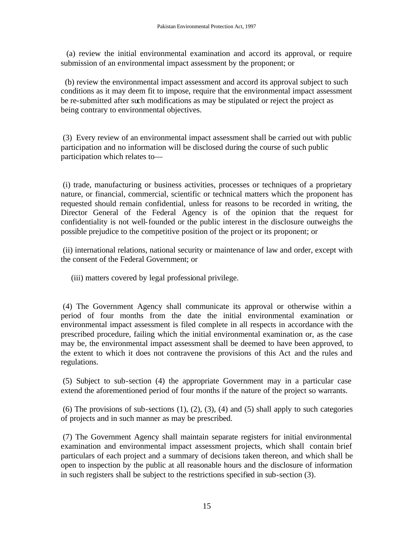(a) review the initial environmental examination and accord its approval, or require submission of an environmental impact assessment by the proponent; or

 (b) review the environmental impact assessment and accord its approval subject to such conditions as it may deem fit to impose, require that the environmental impact assessment be re-submitted after such modifications as may be stipulated or reject the project as being contrary to environmental objectives.

(3) Every review of an environmental impact assessment shall be carried out with public participation and no information will be disclosed during the course of such public participation which relates to—

(i) trade, manufacturing or business activities, processes or techniques of a proprietary nature, or financial, commercial, scientific or technical matters which the proponent has requested should remain confidential, unless for reasons to be recorded in writing, the Director General of the Federal Agency is of the opinion that the request for confidentiality is not well-founded or the public interest in the disclosure outweighs the possible prejudice to the competitive position of the project or its proponent; or

(ii) international relations, national security or maintenance of law and order, except with the consent of the Federal Government; or

(iii) matters covered by legal professional privilege.

(4) The Government Agency shall communicate its approval or otherwise within a period of four months from the date the initial environmental examination or environmental impact assessment is filed complete in all respects in accordance with the prescribed procedure, failing which the initial environmental examination or, as the case may be, the environmental impact assessment shall be deemed to have been approved, to the extent to which it does not contravene the provisions of this Act and the rules and regulations.

(5) Subject to sub-section (4) the appropriate Government may in a particular case extend the aforementioned period of four months if the nature of the project so warrants.

(6) The provisions of sub-sections  $(1)$ ,  $(2)$ ,  $(3)$ ,  $(4)$  and  $(5)$  shall apply to such categories of projects and in such manner as may be prescribed.

(7) The Government Agency shall maintain separate registers for initial environmental examination and environmental impact assessment projects, which shall contain brief particulars of each project and a summary of decisions taken thereon, and which shall be open to inspection by the public at all reasonable hours and the disclosure of information in such registers shall be subject to the restrictions specified in sub-section (3).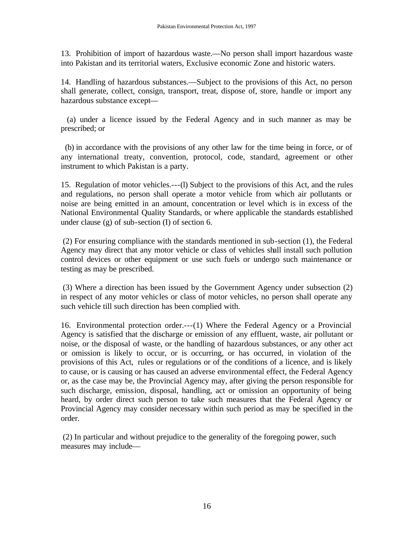13. Prohibition of import of hazardous waste.—No person shall import hazardous waste into Pakistan and its territorial waters, Exclusive economic Zone and historic waters.

14. Handling of hazardous substances.—Subject to the provisions of this Act, no person shall generate, collect, consign, transport, treat, dispose of, store, handle or import any hazardous substance except—

 (a) under a licence issued by the Federal Agency and in such manner as may be prescribed; or

 (b) in accordance with the provisions of any other law for the time being in force, or of any international treaty, convention, protocol, code, standard, agreement or other instrument to which Pakistan is a party.

15. Regulation of motor vehicles.---(l) Subject to the provisions of this Act, and the rules and regulations, no person shall operate a motor vehicle from which air pollutants or noise are being emitted in an amount, concentration or level which is in excess of the National Environmental Quality Standards, or where applicable the standards established under clause (g) of sub-section (I) of section 6.

(2) For ensuring compliance with the standards mentioned in sub-section (1), the Federal Agency may direct that any motor vehicle or class of vehicles shall install such pollution control devices or other equipment or use such fuels or undergo such maintenance or testing as may be prescribed.

(3) Where a direction has been issued by the Government Agency under subsection (2) in respect of any motor vehicles or class of motor vehicles, no person shall operate any such vehicle till such direction has been complied with.

16. Environmental protection order.---(1) Where the Federal Agency or a Provincial Agency is satisfied that the discharge or emission of any effluent, waste, air pollutant or noise, or the disposal of waste, or the handling of hazardous substances, or any other act or omission is likely to occur, or is occurring, or has occurred, in violation of the provisions of this Act, rules or regulations or of the conditions of a licence, and is likely to cause, or is causing or has caused an adverse environmental effect, the Federal Agency or, as the case may be, the Provincial Agency may, after giving the person responsible for such discharge, emission, disposal, handling, act or omission an opportunity of being heard, by order direct such person to take such measures that the Federal Agency or Provincial Agency may consider necessary within such period as may be specified in the order.

(2) In particular and without prejudice to the generality of the foregoing power, such measures may include—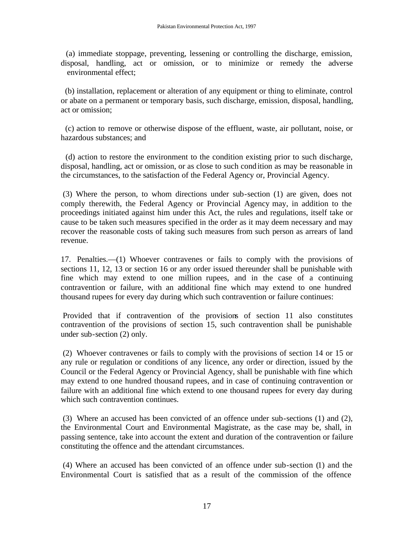(a) immediate stoppage, preventing, lessening or controlling the discharge, emission, disposal, handling, act or omission, or to minimize or remedy the adverse environmental effect;

 (b) installation, replacement or alteration of any equipment or thing to eliminate, control or abate on a permanent or temporary basis, such discharge, emission, disposal, handling, act or omission;

 (c) action to remove or otherwise dispose of the effluent, waste, air pollutant, noise, or hazardous substances; and

 (d) action to restore the environment to the condition existing prior to such discharge, disposal, handling, act or omission, or as close to such cond ition as may be reasonable in the circumstances, to the satisfaction of the Federal Agency or, Provincial Agency.

(3) Where the person, to whom directions under sub-section (1) are given, does not comply therewith, the Federal Agency or Provincial Agency may, in addition to the proceedings initiated against him under this Act, the rules and regulations, itself take or cause to be taken such measures specified in the order as it may deem necessary and may recover the reasonable costs of taking such measures from such person as arrears of land revenue.

17. Penalties.—(1) Whoever contravenes or fails to comply with the provisions of sections 11, 12, 13 or section 16 or any order issued thereunder shall be punishable with fine which may extend to one million rupees, and in the case of a continuing contravention or failure, with an additional fine which may extend to one hundred thousand rupees for every day during which such contravention or failure continues:

Provided that if contravention of the provisions of section 11 also constitutes contravention of the provisions of section 15, such contravention shall be punishable under sub-section (2) only.

(2) Whoever contravenes or fails to comply with the provisions of section 14 or 15 or any rule or regulation or conditions of any licence, any order or direction, issued by the Council or the Federal Agency or Provincial Agency, shall be punishable with fine which may extend to one hundred thousand rupees, and in case of continuing contravention or failure with an additional fine which extend to one thousand rupees for every day during which such contravention continues.

(3) Where an accused has been convicted of an offence under sub-sections (1) and (2), the Environmental Court and Environmental Magistrate, as the case may be, shall, in passing sentence, take into account the extent and duration of the contravention or failure constituting the offence and the attendant circumstances.

(4) Where an accused has been convicted of an offence under sub-section (1) and the Environmental Court is satisfied that as a result of the commission of the offence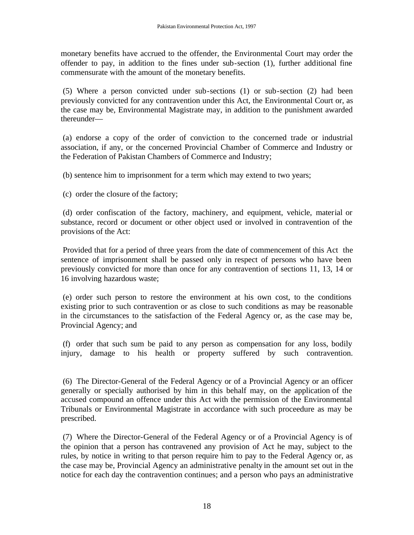monetary benefits have accrued to the offender, the Environmental Court may order the offender to pay, in addition to the fines under sub-section (1), further additional fine commensurate with the amount of the monetary benefits.

(5) Where a person convicted under sub-sections (1) or sub-section (2) had been previously convicted for any contravention under this Act, the Environmental Court or, as the case may be, Environmental Magistrate may, in addition to the punishment awarded thereunder—

(a) endorse a copy of the order of conviction to the concerned trade or industrial association, if any, or the concerned Provincial Chamber of Commerce and Industry or the Federation of Pakistan Chambers of Commerce and Industry;

(b) sentence him to imprisonment for a term which may extend to two years;

(c) order the closure of the factory;

(d) order confiscation of the factory, machinery, and equipment, vehicle, material or substance, record or document or other object used or involved in contravention of the provisions of the Act:

Provided that for a period of three years from the date of commencement of this Act the sentence of imprisonment shall be passed only in respect of persons who have been previously convicted for more than once for any contravention of sections 11, 13, 14 or 16 involving hazardous waste;

(e) order such person to restore the environment at his own cost, to the conditions existing prior to such contravention or as close to such conditions as may be reasonable in the circumstances to the satisfaction of the Federal Agency or, as the case may be, Provincial Agency; and

(f) order that such sum be paid to any person as compensation for any loss, bodily injury, damage to his health or property suffered by such contravention.

(6) The Director-General of the Federal Agency or of a Provincial Agency or an officer generally or specially authorised by him in this behalf may, on the application of the accused compound an offence under this Act with the permission of the Environmental Tribunals or Environmental Magistrate in accordance with such proceedure as may be prescribed.

(7) Where the Director-General of the Federal Agency or of a Provincial Agency is of the opinion that a person has contravened any provision of Act he may, subject to the rules, by notice in writing to that person require him to pay to the Federal Agency or, as the case may be, Provincial Agency an administrative penalty in the amount set out in the notice for each day the contravention continues; and a person who pays an administrative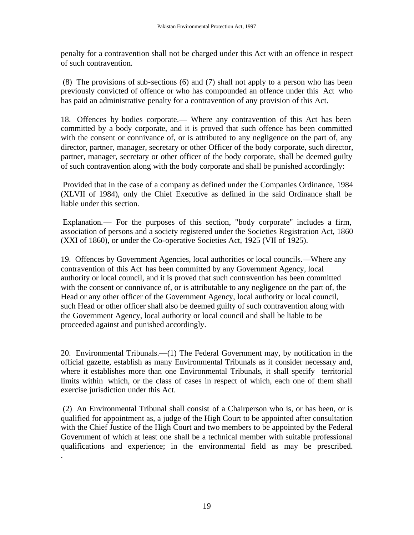penalty for a contravention shall not be charged under this Act with an offence in respect of such contravention.

(8) The provisions of sub-sections (6) and (7) shall not apply to a person who has been previously convicted of offence or who has compounded an offence under this Act who has paid an administrative penalty for a contravention of any provision of this Act.

18. Offences by bodies corporate.— Where any contravention of this Act has been committed by a body corporate, and it is proved that such offence has been committed with the consent or connivance of, or is attributed to any negligence on the part of, any director, partner, manager, secretary or other Officer of the body corporate, such director, partner, manager, secretary or other officer of the body corporate, shall be deemed guilty of such contravention along with the body corporate and shall be punished accordingly:

Provided that in the case of a company as defined under the Companies Ordinance, 1984 (XLVII of 1984), only the Chief Executive as defined in the said Ordinance shall be liable under this section.

Explanation.— For the purposes of this section, "body corporate" includes a firm, association of persons and a society registered under the Societies Registration Act, 1860 (XXI of 1860), or under the Co-operative Societies Act, 1925 (VII of 1925).

19. Offences by Government Agencies, local authorities or local councils.—Where any contravention of this Act has been committed by any Government Agency, local authority or local council, and it is proved that such contravention has been committed with the consent or connivance of, or is attributable to any negligence on the part of, the Head or any other officer of the Government Agency, local authority or local council, such Head or other officer shall also be deemed guilty of such contravention along with the Government Agency, local authority or local council and shall be liable to be proceeded against and punished accordingly.

20. Environmental Tribunals.—(1) The Federal Government may, by notification in the official gazette, establish as many Environmental Tribunals as it consider necessary and, where it establishes more than one Environmental Tribunals, it shall specify territorial limits within which, or the class of cases in respect of which, each one of them shall exercise jurisdiction under this Act.

(2) An Environmental Tribunal shall consist of a Chairperson who is, or has been, or is qualified for appointment as, a judge of the High Court to be appointed after consultation with the Chief Justice of the High Court and two members to be appointed by the Federal Government of which at least one shall be a technical member with suitable professional qualifications and experience; in the environmental field as may be prescribed.

.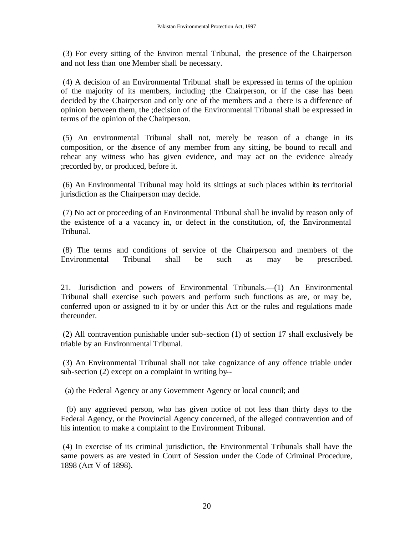(3) For every sitting of the Environ mental Tribunal, the presence of the Chairperson and not less than one Member shall be necessary.

(4) A decision of an Environmental Tribunal shall be expressed in terms of the opinion of the majority of its members, including ;the Chairperson, or if the case has been decided by the Chairperson and only one of the members and a there is a difference of opinion between them, the ;decision of the Environmental Tribunal shall be expressed in terms of the opinion of the Chairperson.

(5) An environmental Tribunal shall not, merely be reason of a change in its composition, or the absence of any member from any sitting, be bound to recall and rehear any witness who has given evidence, and may act on the evidence already ;recorded by, or produced, before it.

(6) An Environmental Tribunal may hold its sittings at such places within its territorial jurisdiction as the Chairperson may decide.

(7) No act or proceeding of an Environmental Tribunal shall be invalid by reason only of the existence of a a vacancy in, or defect in the constitution, of, the Environmental Tribunal.

(8) The terms and conditions of service of the Chairperson and members of the Environmental Tribunal shall be such as may be prescribed.

21. Jurisdiction and powers of Environmental Tribunals.—(1) An Environmental Tribunal shall exercise such powers and perform such functions as are, or may be, conferred upon or assigned to it by or under this Act or the rules and regulations made thereunder.

(2) All contravention punishable under sub-section (1) of section 17 shall exclusively be triable by an Environmental Tribunal.

(3) An Environmental Tribunal shall not take cognizance of any offence triable under sub-section (2) except on a complaint in writing by--

(a) the Federal Agency or any Government Agency or local council; and

 (b) any aggrieved person, who has given notice of not less than thirty days to the Federal Agency, or the Provincial Agency concerned, of the alleged contravention and of his intention to make a complaint to the Environment Tribunal.

(4) In exercise of its criminal jurisdiction, the Environmental Tribunals shall have the same powers as are vested in Court of Session under the Code of Criminal Procedure, 1898 (Act V of 1898).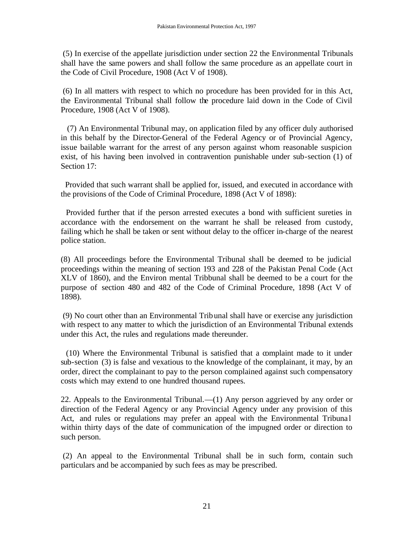(5) In exercise of the appellate jurisdiction under section 22 the Environmental Tribunals shall have the same powers and shall follow the same procedure as an appellate court in the Code of Civil Procedure, 1908 (Act V of 1908).

(6) In all matters with respect to which no procedure has been provided for in this Act, the Environmental Tribunal shall follow the procedure laid down in the Code of Civil Procedure, 1908 (Act V of 1908).

 (7) An Environmental Tribunal may, on application filed by any officer duly authorised in this behalf by the Director-General of the Federal Agency or of Provincial Agency, issue bailable warrant for the arrest of any person against whom reasonable suspicion exist, of his having been involved in contravention punishable under sub-section (1) of Section 17:

 Provided that such warrant shall be applied for, issued, and executed in accordance with the provisions of the Code of Criminal Procedure, 1898 (Act V of 1898):

 Provided further that if the person arrested executes a bond with sufficient sureties in accordance with the endorsement on the warrant he shall be released from custody, failing which he shall be taken or sent without delay to the officer in-charge of the nearest police station.

(8) All proceedings before the Environmental Tribunal shall be deemed to be judicial proceedings within the meaning of section 193 and 228 of the Pakistan Penal Code (Act XLV of 1860), and the Environ mental Tribbunal shall be deemed to be a court for the purpose of section 480 and 482 of the Code of Criminal Procedure, 1898 (Act V of 1898).

(9) No court other than an Environmental Tribunal shall have or exercise any jurisdiction with respect to any matter to which the jurisdiction of an Environmental Tribunal extends under this Act, the rules and regulations made thereunder.

 (10) Where the Environmental Tribunal is satisfied that a complaint made to it under sub-section (3) is false and vexatious to the knowledge of the complainant, it may, by an order, direct the complainant to pay to the person complained against such compensatory costs which may extend to one hundred thousand rupees.

22. Appeals to the Environmental Tribunal.—(1) Any person aggrieved by any order or direction of the Federal Agency or any Provincial Agency under any provision of this Act, and rules or regulations may prefer an appeal with the Environmental Tribuna l within thirty days of the date of communication of the impugned order or direction to such person.

(2) An appeal to the Environmental Tribunal shall be in such form, contain such particulars and be accompanied by such fees as may be prescribed.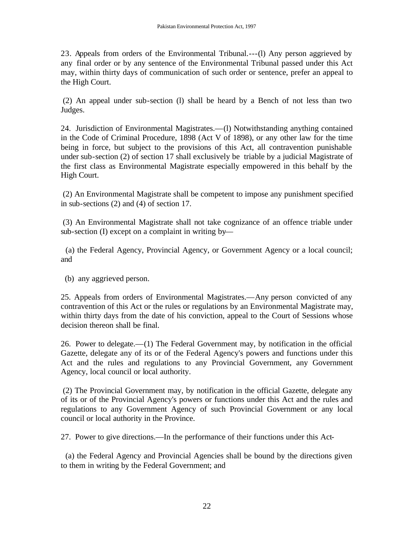23. Appeals from orders of the Environmental Tribunal.---(l) Any person aggrieved by any final order or by any sentence of the Environmental Tribunal passed under this Act may, within thirty days of communication of such order or sentence, prefer an appeal to the High Court.

(2) An appeal under sub-section (l) shall be heard by a Bench of not less than two Judges.

24. Jurisdiction of Environmental Magistrates.—(l) Notwithstanding anything contained in the Code of Criminal Procedure, 1898 (Act V of 1898), or any other law for the time being in force, but subject to the provisions of this Act, all contravention punishable under sub-section (2) of section 17 shall exclusively be triable by a judicial Magistrate of the first class as Environmental Magistrate especially empowered in this behalf by the High Court.

(2) An Environmental Magistrate shall be competent to impose any punishment specified in sub-sections (2) and (4) of section 17.

(3) An Environmental Magistrate shall not take cognizance of an offence triable under sub-section (I) except on a complaint in writing by—

 (a) the Federal Agency, Provincial Agency, or Government Agency or a local council; and

(b) any aggrieved person.

25. Appeals from orders of Environmental Magistrates.—Any person convicted of any contravention of this Act or the rules or regulations by an Environmental Magistrate may, within thirty days from the date of his conviction, appeal to the Court of Sessions whose decision thereon shall be final.

26. Power to delegate.—(1) The Federal Government may, by notification in the official Gazette, delegate any of its or of the Federal Agency's powers and functions under this Act and the rules and regulations to any Provincial Government, any Government Agency, local council or local authority.

(2) The Provincial Government may, by notification in the official Gazette, delegate any of its or of the Provincial Agency's powers or functions under this Act and the rules and regulations to any Government Agency of such Provincial Government or any local council or local authority in the Province.

27. Power to give directions.—In the performance of their functions under this Act-

 (a) the Federal Agency and Provincial Agencies shall be bound by the directions given to them in writing by the Federal Government; and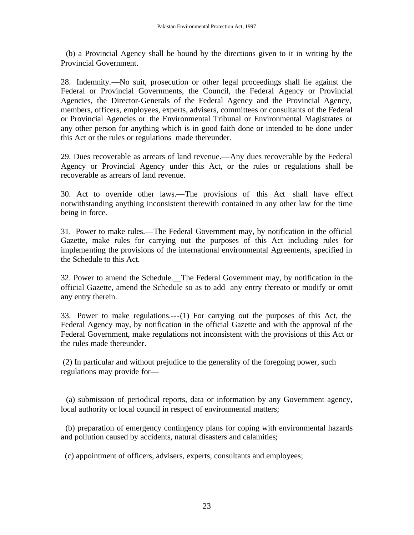(b) a Provincial Agency shall be bound by the directions given to it in writing by the Provincial Government.

28. Indemnity.—No suit, prosecution or other legal proceedings shall lie against the Federal or Provincial Governments, the Council, the Federal Agency or Provincial Agencies, the Director-Generals of the Federal Agency and the Provincial Agency, members, officers, employees, experts, advisers, committees or consultants of the Federal or Provincial Agencies or the Environmental Tribunal or Environmental Magistrates or any other person for anything which is in good faith done or intended to be done under this Act or the rules or regulations made thereunder.

29. Dues recoverable as arrears of land revenue.—Any dues recoverable by the Federal Agency or Provincial Agency under this Act, or the rules or regulations shall be recoverable as arrears of land revenue.

30. Act to override other laws.—The provisions of this Act shall have effect notwithstanding anything inconsistent therewith contained in any other law for the time being in force.

31. Power to make rules.—The Federal Government may, by notification in the official Gazette, make rules for carrying out the purposes of this Act including rules for implementing the provisions of the international environmental Agreements, specified in the Schedule to this Act.

32. Power to amend the Schedule.\_\_The Federal Government may, by notification in the official Gazette, amend the Schedule so as to add any entry thereato or modify or omit any entry therein.

33. Power to make regulations.---(1) For carrying out the purposes of this Act, the Federal Agency may, by notification in the official Gazette and with the approval of the Federal Government, make regulations not inconsistent with the provisions of this Act or the rules made thereunder.

(2) In particular and without prejudice to the generality of the foregoing power, such regulations may provide for—

 (a) submission of periodical reports, data or information by any Government agency, local authority or local council in respect of environmental matters;

 (b) preparation of emergency contingency plans for coping with environmental hazards and pollution caused by accidents, natural disasters and calamities;

(c) appointment of officers, advisers, experts, consultants and employees;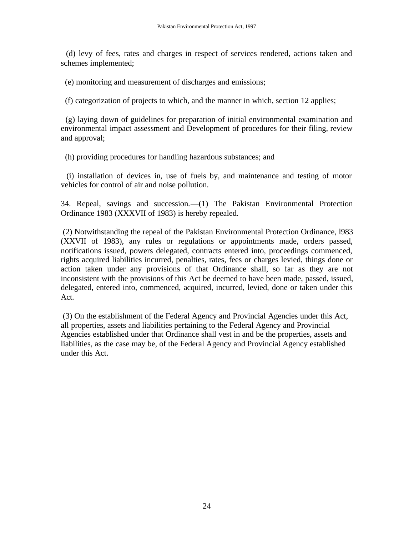(d) levy of fees, rates and charges in respect of services rendered, actions taken and schemes implemented;

(e) monitoring and measurement of discharges and emissions;

(f) categorization of projects to which, and the manner in which, section 12 applies;

 (g) laying down of guidelines for preparation of initial environmental examination and environmental impact assessment and Development of procedures for their filing, review and approval;

(h) providing procedures for handling hazardous substances; and

 (i) installation of devices in, use of fuels by, and maintenance and testing of motor vehicles for control of air and noise pollution.

34. Repeal, savings and succession.—(1) The Pakistan Environmental Protection Ordinance 1983 (XXXVII of 1983) is hereby repealed.

(2) Notwithstanding the repeal of the Pakistan Environmental Protection Ordinance, l983 (XXVII of 1983), any rules or regulations or appointments made, orders passed, notifications issued, powers delegated, contracts entered into, proceedings commenced, rights acquired liabilities incurred, penalties, rates, fees or charges levied, things done or action taken under any provisions of that Ordinance shall, so far as they are not inconsistent with the provisions of this Act be deemed to have been made, passed, issued, delegated, entered into, commenced, acquired, incurred, levied, done or taken under this Act.

(3) On the establishment of the Federal Agency and Provincial Agencies under this Act, all properties, assets and liabilities pertaining to the Federal Agency and Provincial Agencies established under that Ordinance shall vest in and be the properties, assets and liabilities, as the case may be, of the Federal Agency and Provincial Agency established under this Act.